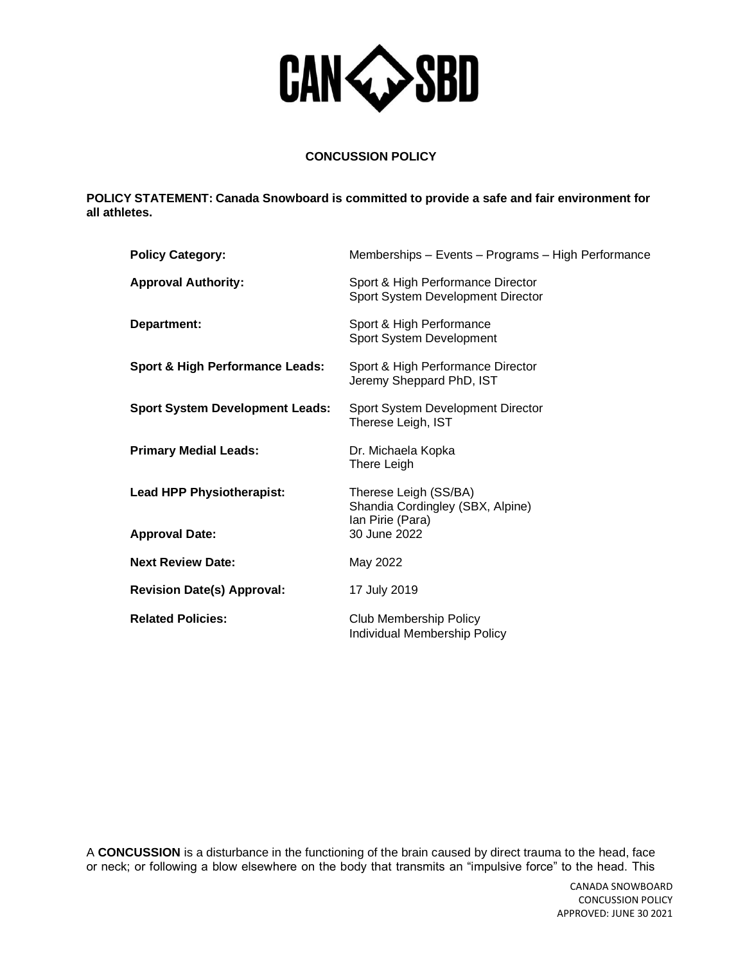

# **CONCUSSION POLICY**

**POLICY STATEMENT: Canada Snowboard is committed to provide a safe and fair environment for all athletes.**

| <b>Policy Category:</b>                    | Memberships - Events - Programs - High Performance                            |
|--------------------------------------------|-------------------------------------------------------------------------------|
| <b>Approval Authority:</b>                 | Sport & High Performance Director<br>Sport System Development Director        |
| Department:                                | Sport & High Performance<br>Sport System Development                          |
| <b>Sport &amp; High Performance Leads:</b> | Sport & High Performance Director<br>Jeremy Sheppard PhD, IST                 |
| <b>Sport System Development Leads:</b>     | Sport System Development Director<br>Therese Leigh, IST                       |
| <b>Primary Medial Leads:</b>               | Dr. Michaela Kopka<br>There Leigh                                             |
| <b>Lead HPP Physiotherapist:</b>           | Therese Leigh (SS/BA)<br>Shandia Cordingley (SBX, Alpine)<br>Ian Pirie (Para) |
| <b>Approval Date:</b>                      | 30 June 2022                                                                  |
| <b>Next Review Date:</b>                   | May 2022                                                                      |
| <b>Revision Date(s) Approval:</b>          | 17 July 2019                                                                  |
| <b>Related Policies:</b>                   | Club Membership Policy<br>Individual Membership Policy                        |

A **CONCUSSION** is a disturbance in the functioning of the brain caused by direct trauma to the head, face or neck; or following a blow elsewhere on the body that transmits an "impulsive force" to the head. This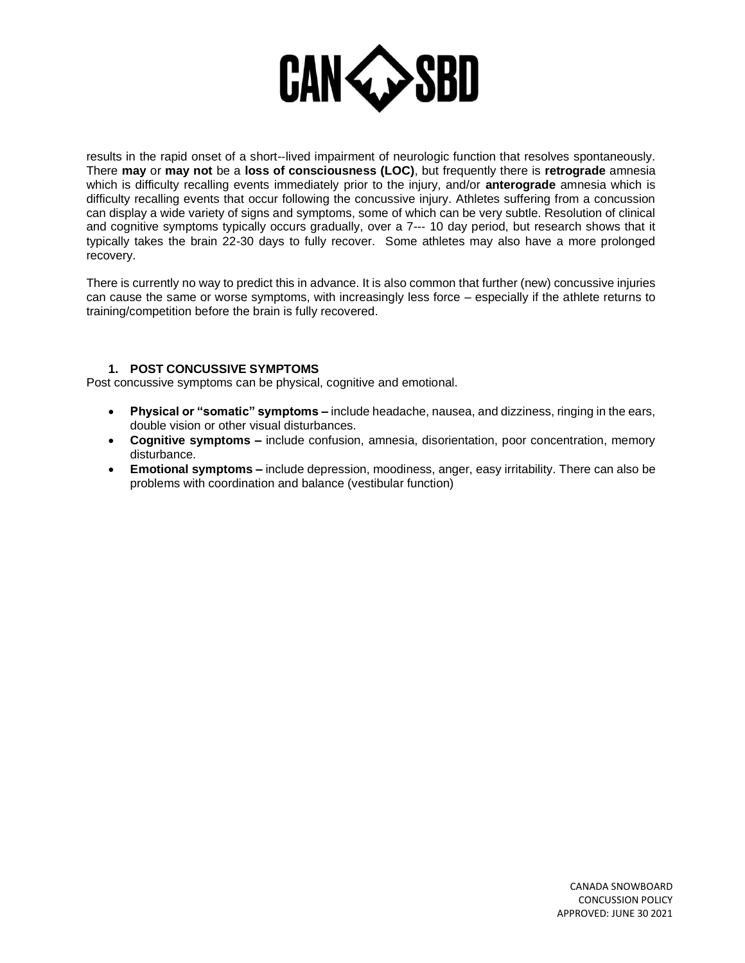

results in the rapid onset of a short-‐lived impairment of neurologic function that resolves spontaneously. There **may** or **may not** be a **loss of consciousness (LOC)**, but frequently there is **retrograde** amnesia which is difficulty recalling events immediately prior to the injury, and/or **anterograde** amnesia which is difficulty recalling events that occur following the concussive injury. Athletes suffering from a concussion can display a wide variety of signs and symptoms, some of which can be very subtle. Resolution of clinical and cognitive symptoms typically occurs gradually, over a 7--‐ 10 day period, but research shows that it typically takes the brain 22-30 days to fully recover. Some athletes may also have a more prolonged recovery.

There is currently no way to predict this in advance. It is also common that further (new) concussive injuries can cause the same or worse symptoms, with increasingly less force – especially if the athlete returns to training/competition before the brain is fully recovered.

### **1. POST CONCUSSIVE SYMPTOMS**

Post concussive symptoms can be physical, cognitive and emotional.

- **Physical or "somatic" symptoms –** include headache, nausea, and dizziness, ringing in the ears, double vision or other visual disturbances.
- **Cognitive symptoms –** include confusion, amnesia, disorientation, poor concentration, memory disturbance.
- **Emotional symptoms –** include depression, moodiness, anger, easy irritability. There can also be problems with coordination and balance (vestibular function)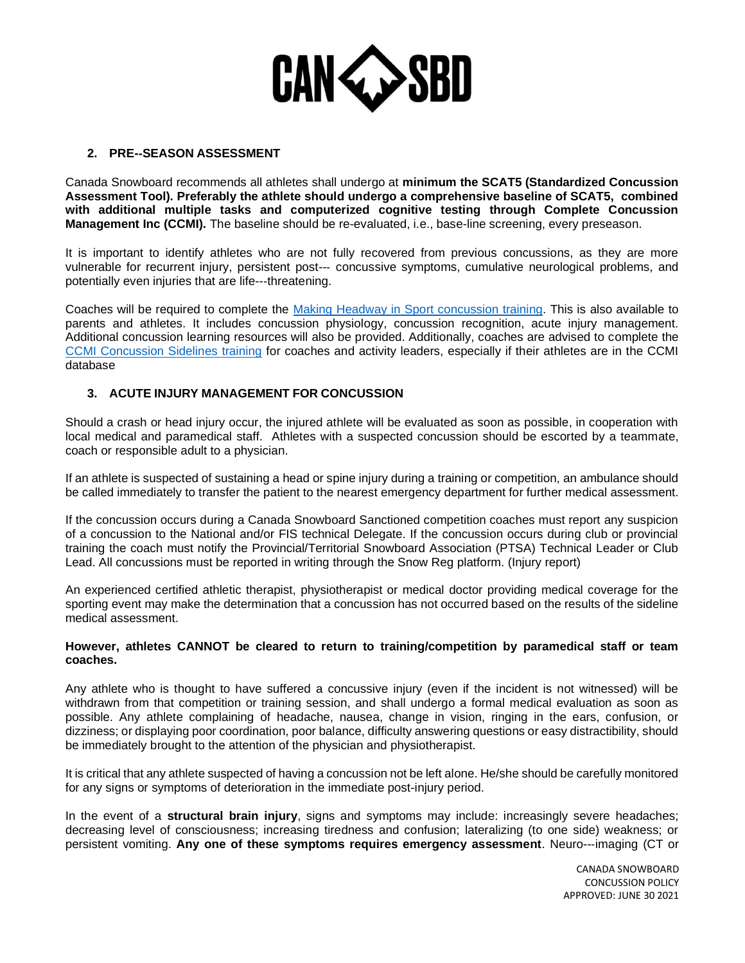

# **2. PRE-**‐**SEASON ASSESSMENT**

Canada Snowboard recommends all athletes shall undergo at **minimum the SCAT5 (Standardized Concussion Assessment Tool). Preferably the athlete should undergo a comprehensive baseline of SCAT5, combined with additional multiple tasks and computerized cognitive testing through Complete Concussion Management Inc (CCMI).** The baseline should be re-evaluated, i.e., base-line screening, every preseason.

It is important to identify athletes who are not fully recovered from previous concussions, as they are more vulnerable for recurrent injury, persistent post--‐ concussive symptoms, cumulative neurological problems, and potentially even injuries that are life--‐threatening.

Coaches will be required to complete the [Making Headway in Sport concussion training.](https://thelocker.coach.ca/onlinelearning#MHW-SB-E) This is also available to parents and athletes. It includes concussion physiology, concussion recognition, acute injury management. Additional concussion learning resources will also be provided. Additionally, coaches are advised to complete the [CCMI Concussion Sidelines training](https://courses.completeconcussions.com/concussion-sideline-course-coaches-trainers-school-teachers/) for coaches and activity leaders, especially if their athletes are in the CCMI database

### **3. ACUTE INJURY MANAGEMENT FOR CONCUSSION**

Should a crash or head injury occur, the injured athlete will be evaluated as soon as possible, in cooperation with local medical and paramedical staff. Athletes with a suspected concussion should be escorted by a teammate, coach or responsible adult to a physician.

If an athlete is suspected of sustaining a head or spine injury during a training or competition, an ambulance should be called immediately to transfer the patient to the nearest emergency department for further medical assessment.

If the concussion occurs during a Canada Snowboard Sanctioned competition coaches must report any suspicion of a concussion to the National and/or FIS technical Delegate. If the concussion occurs during club or provincial training the coach must notify the Provincial/Territorial Snowboard Association (PTSA) Technical Leader or Club Lead. All concussions must be reported in writing through the Snow Reg platform. (Injury report)

An experienced certified athletic therapist, physiotherapist or medical doctor providing medical coverage for the sporting event may make the determination that a concussion has not occurred based on the results of the sideline medical assessment.

#### **However, athletes CANNOT be cleared to return to training/competition by paramedical staff or team coaches.**

Any athlete who is thought to have suffered a concussive injury (even if the incident is not witnessed) will be withdrawn from that competition or training session, and shall undergo a formal medical evaluation as soon as possible. Any athlete complaining of headache, nausea, change in vision, ringing in the ears, confusion, or dizziness; or displaying poor coordination, poor balance, difficulty answering questions or easy distractibility, should be immediately brought to the attention of the physician and physiotherapist.

It is critical that any athlete suspected of having a concussion not be left alone. He/she should be carefully monitored for any signs or symptoms of deterioration in the immediate post-injury period.

In the event of a **structural brain injury**, signs and symptoms may include: increasingly severe headaches; decreasing level of consciousness; increasing tiredness and confusion; lateralizing (to one side) weakness; or persistent vomiting. Any one of these symptoms requires emergency assessment. Neuro---imaging (CT or

> CANADA SNOWBOARD CONCUSSION POLICY APPROVED: JUNE 30 2021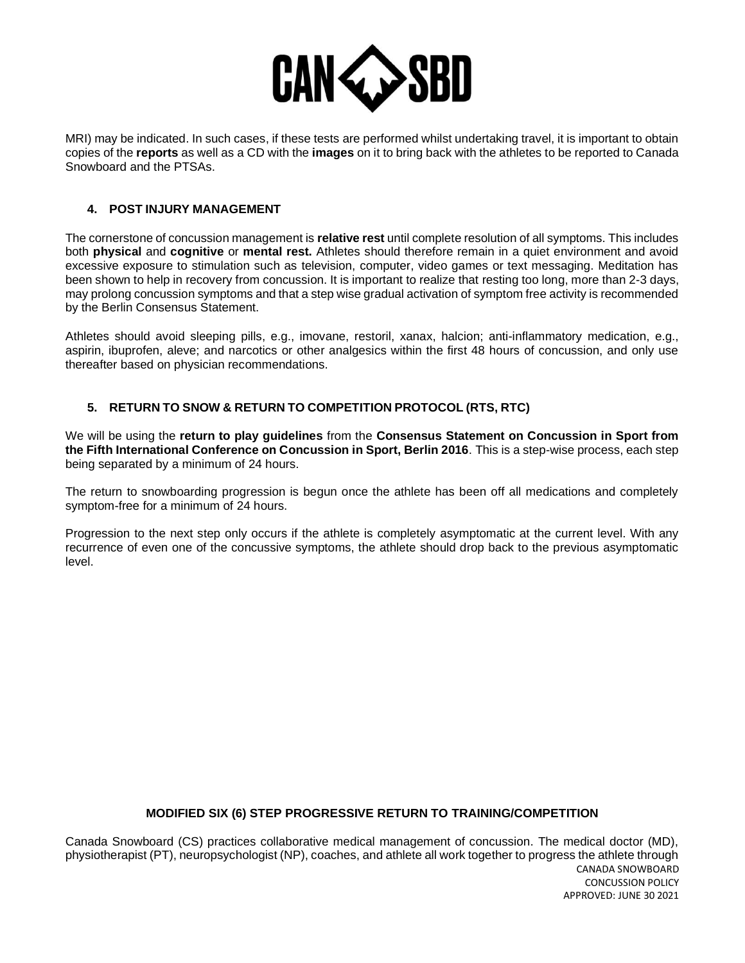

MRI) may be indicated. In such cases, if these tests are performed whilst undertaking travel, it is important to obtain copies of the **reports** as well as a CD with the **images** on it to bring back with the athletes to be reported to Canada Snowboard and the PTSAs.

### **4. POST INJURY MANAGEMENT**

The cornerstone of concussion management is **relative rest** until complete resolution of all symptoms. This includes both **physical** and **cognitive** or **mental rest.** Athletes should therefore remain in a quiet environment and avoid excessive exposure to stimulation such as television, computer, video games or text messaging. Meditation has been shown to help in recovery from concussion. It is important to realize that resting too long, more than 2-3 days, may prolong concussion symptoms and that a step wise gradual activation of symptom free activity is recommended by the Berlin Consensus Statement.

Athletes should avoid sleeping pills, e.g., imovane, restoril, xanax, halcion; anti-inflammatory medication, e.g., aspirin, ibuprofen, aleve; and narcotics or other analgesics within the first 48 hours of concussion, and only use thereafter based on physician recommendations.

# **5. RETURN TO SNOW & RETURN TO COMPETITION PROTOCOL (RTS, RTC)**

We will be using the **return to play guidelines** from the **Consensus Statement on Concussion in Sport from the Fifth International Conference on Concussion in Sport, Berlin 2016**. This is a step-wise process, each step being separated by a minimum of 24 hours.

The return to snowboarding progression is begun once the athlete has been off all medications and completely symptom-free for a minimum of 24 hours.

Progression to the next step only occurs if the athlete is completely asymptomatic at the current level. With any recurrence of even one of the concussive symptoms, the athlete should drop back to the previous asymptomatic level.

# **MODIFIED SIX (6) STEP PROGRESSIVE RETURN TO TRAINING/COMPETITION**

CANADA SNOWBOARD CONCUSSION POLICY APPROVED: JUNE 30 2021 Canada Snowboard (CS) practices collaborative medical management of concussion. The medical doctor (MD), physiotherapist (PT), neuropsychologist (NP), coaches, and athlete all work together to progress the athlete through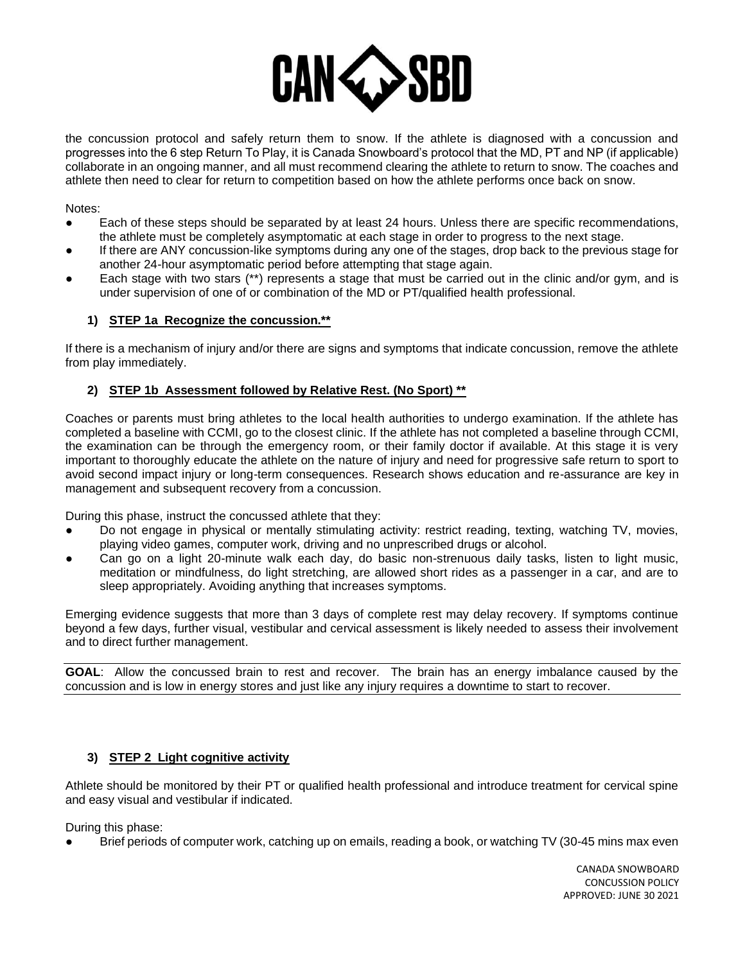

the concussion protocol and safely return them to snow. If the athlete is diagnosed with a concussion and progresses into the 6 step Return To Play, it is Canada Snowboard's protocol that the MD, PT and NP (if applicable) collaborate in an ongoing manner, and all must recommend clearing the athlete to return to snow. The coaches and athlete then need to clear for return to competition based on how the athlete performs once back on snow.

Notes:

- Each of these steps should be separated by at least 24 hours. Unless there are specific recommendations, the athlete must be completely asymptomatic at each stage in order to progress to the next stage.
- If there are ANY concussion-like symptoms during any one of the stages, drop back to the previous stage for another 24-hour asymptomatic period before attempting that stage again.
- Each stage with two stars (\*\*) represents a stage that must be carried out in the clinic and/or gym, and is under supervision of one of or combination of the MD or PT/qualified health professional.

# **1) STEP 1a Recognize the concussion.\*\***

If there is a mechanism of injury and/or there are signs and symptoms that indicate concussion, remove the athlete from play immediately.

# **2) STEP 1b Assessment followed by Relative Rest. (No Sport) \*\***

Coaches or parents must bring athletes to the local health authorities to undergo examination. If the athlete has completed a baseline with CCMI, go to the closest clinic. If the athlete has not completed a baseline through CCMI, the examination can be through the emergency room, or their family doctor if available. At this stage it is very important to thoroughly educate the athlete on the nature of injury and need for progressive safe return to sport to avoid second impact injury or long-term consequences. Research shows education and re-assurance are key in management and subsequent recovery from a concussion.

During this phase, instruct the concussed athlete that they:

- Do not engage in physical or mentally stimulating activity: restrict reading, texting, watching TV, movies, playing video games, computer work, driving and no unprescribed drugs or alcohol.
- Can go on a light 20-minute walk each day, do basic non-strenuous daily tasks, listen to light music, meditation or mindfulness, do light stretching, are allowed short rides as a passenger in a car, and are to sleep appropriately. Avoiding anything that increases symptoms.

Emerging evidence suggests that more than 3 days of complete rest may delay recovery. If symptoms continue beyond a few days, further visual, vestibular and cervical assessment is likely needed to assess their involvement and to direct further management.

**GOAL**: Allow the concussed brain to rest and recover. The brain has an energy imbalance caused by the concussion and is low in energy stores and just like any injury requires a downtime to start to recover.

# **3) STEP 2 Light cognitive activity**

Athlete should be monitored by their PT or qualified health professional and introduce treatment for cervical spine and easy visual and vestibular if indicated.

During this phase:

Brief periods of computer work, catching up on emails, reading a book, or watching TV (30-45 mins max even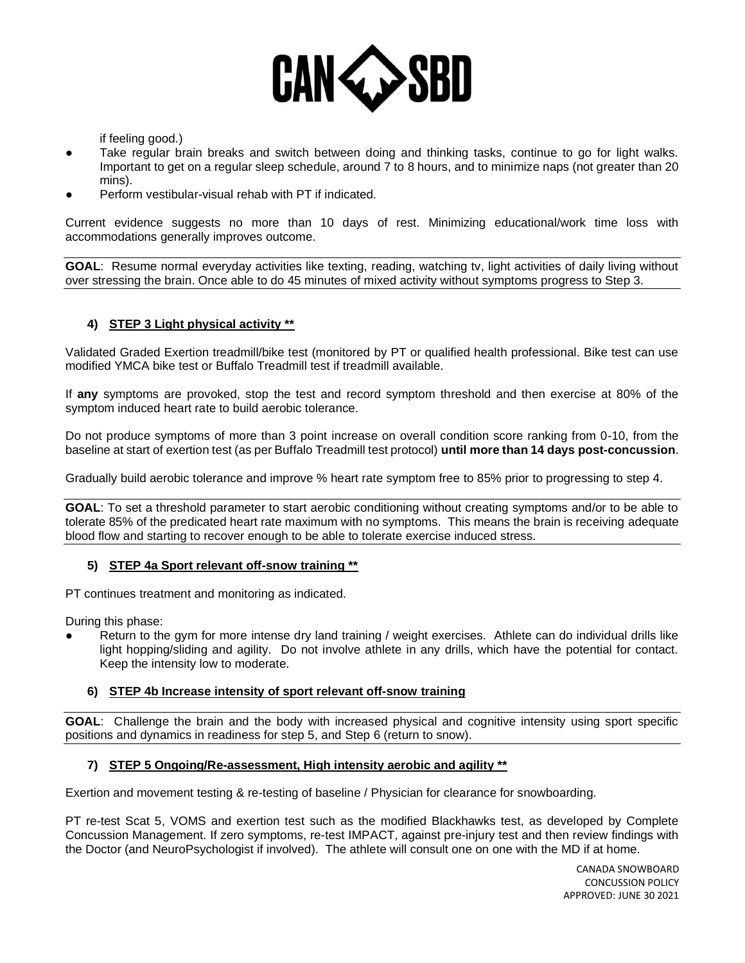

if feeling good.)

- Take regular brain breaks and switch between doing and thinking tasks, continue to go for light walks. Important to get on a regular sleep schedule, around 7 to 8 hours, and to minimize naps (not greater than 20 mins).
- Perform vestibular-visual rehab with PT if indicated.

Current evidence suggests no more than 10 days of rest. Minimizing educational/work time loss with accommodations generally improves outcome.

**GOAL**: Resume normal everyday activities like texting, reading, watching tv, light activities of daily living without over stressing the brain. Once able to do 45 minutes of mixed activity without symptoms progress to Step 3.

# **4) STEP 3 Light physical activity \*\***

Validated Graded Exertion treadmill/bike test (monitored by PT or qualified health professional. Bike test can use modified YMCA bike test or Buffalo Treadmill test if treadmill available.

If **any** symptoms are provoked, stop the test and record symptom threshold and then exercise at 80% of the symptom induced heart rate to build aerobic tolerance.

Do not produce symptoms of more than 3 point increase on overall condition score ranking from 0-10, from the baseline at start of exertion test (as per Buffalo Treadmill test protocol) **until more than 14 days post-concussion**.

Gradually build aerobic tolerance and improve % heart rate symptom free to 85% prior to progressing to step 4.

**GOAL**: To set a threshold parameter to start aerobic conditioning without creating symptoms and/or to be able to tolerate 85% of the predicated heart rate maximum with no symptoms. This means the brain is receiving adequate blood flow and starting to recover enough to be able to tolerate exercise induced stress.

#### **5) STEP 4a Sport relevant off-snow training \*\***

PT continues treatment and monitoring as indicated.

During this phase:

Return to the gym for more intense dry land training / weight exercises. Athlete can do individual drills like light hopping/sliding and agility. Do not involve athlete in any drills, which have the potential for contact. Keep the intensity low to moderate.

### **6) STEP 4b Increase intensity of sport relevant off-snow training**

**GOAL**: Challenge the brain and the body with increased physical and cognitive intensity using sport specific positions and dynamics in readiness for step 5, and Step 6 (return to snow).

#### **7) STEP 5 Ongoing/Re-assessment, High intensity aerobic and agility \*\***

Exertion and movement testing & re-testing of baseline / Physician for clearance for snowboarding.

PT re-test Scat 5, VOMS and exertion test such as the modified Blackhawks test, as developed by Complete Concussion Management. If zero symptoms, re-test IMPACT, against pre-injury test and then review findings with the Doctor (and NeuroPsychologist if involved). The athlete will consult one on one with the MD if at home.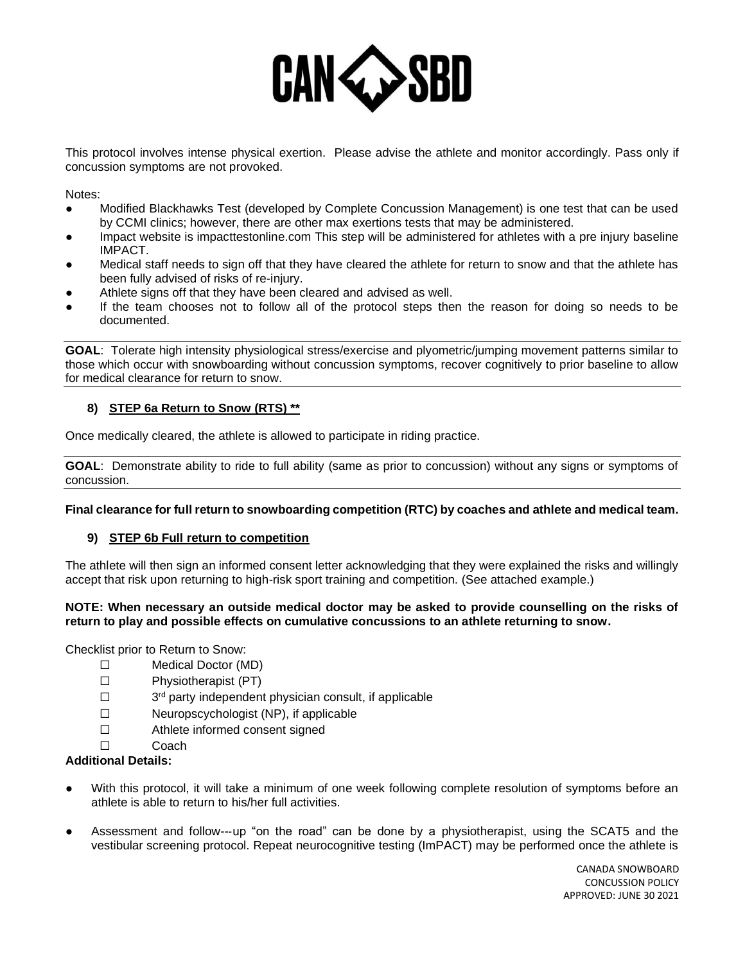

This protocol involves intense physical exertion. Please advise the athlete and monitor accordingly. Pass only if concussion symptoms are not provoked.

Notes:

- Modified Blackhawks Test (developed by Complete Concussion Management) is one test that can be used by CCMI clinics; however, there are other max exertions tests that may be administered.
- Impact website is impacttestonline.com This step will be administered for athletes with a pre injury baseline IMPACT.
- Medical staff needs to sign off that they have cleared the athlete for return to snow and that the athlete has been fully advised of risks of re-injury.
- Athlete signs off that they have been cleared and advised as well.
- If the team chooses not to follow all of the protocol steps then the reason for doing so needs to be documented.

**GOAL**: Tolerate high intensity physiological stress/exercise and plyometric/jumping movement patterns similar to those which occur with snowboarding without concussion symptoms, recover cognitively to prior baseline to allow for medical clearance for return to snow.

# **8) STEP 6a Return to Snow (RTS) \*\***

Once medically cleared, the athlete is allowed to participate in riding practice.

**GOAL**: Demonstrate ability to ride to full ability (same as prior to concussion) without any signs or symptoms of concussion.

# **Final clearance for full return to snowboarding competition (RTC) by coaches and athlete and medical team.**

#### **9) STEP 6b Full return to competition**

The athlete will then sign an informed consent letter acknowledging that they were explained the risks and willingly accept that risk upon returning to high-risk sport training and competition. (See attached example.)

#### **NOTE: When necessary an outside medical doctor may be asked to provide counselling on the risks of return to play and possible effects on cumulative concussions to an athlete returning to snow.**

Checklist prior to Return to Snow:

- ☐ Medical Doctor (MD)
- ☐ Physiotherapist (PT)
- $\Box$ 3<sup>rd</sup> party independent physician consult, if applicable
- ☐ Neuropscychologist (NP), if applicable
- ☐ Athlete informed consent signed
- ☐ Coach

### **Additional Details:**

- With this protocol, it will take a minimum of one week following complete resolution of symptoms before an athlete is able to return to his/her full activities.
- Assessment and follow---up "on the road" can be done by a physiotherapist, using the SCAT5 and the vestibular screening protocol. Repeat neurocognitive testing (ImPACT) may be performed once the athlete is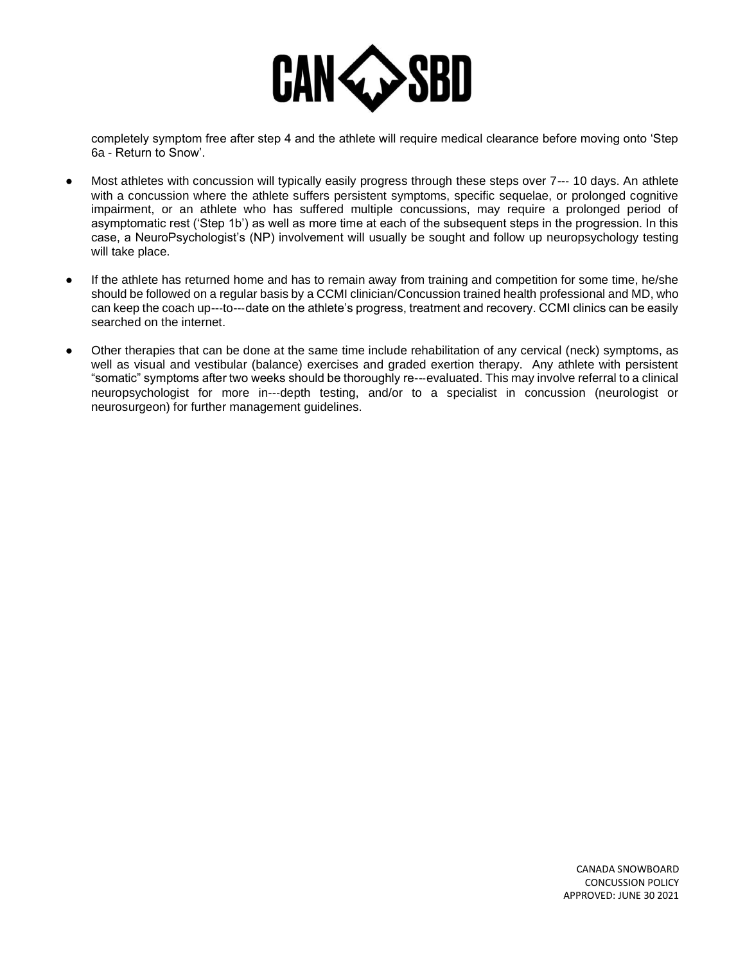

completely symptom free after step 4 and the athlete will require medical clearance before moving onto 'Step 6a - Return to Snow'.

- Most athletes with concussion will typically easily progress through these steps over 7--- 10 days. An athlete with a concussion where the athlete suffers persistent symptoms, specific sequelae, or prolonged cognitive impairment, or an athlete who has suffered multiple concussions, may require a prolonged period of asymptomatic rest ('Step 1b') as well as more time at each of the subsequent steps in the progression. In this case, a NeuroPsychologist's (NP) involvement will usually be sought and follow up neuropsychology testing will take place.
- If the athlete has returned home and has to remain away from training and competition for some time, he/she should be followed on a regular basis by a CCMI clinician/Concussion trained health professional and MD, who can keep the coach up---to---date on the athlete's progress, treatment and recovery. CCMI clinics can be easily searched on the internet.
- Other therapies that can be done at the same time include rehabilitation of any cervical (neck) symptoms, as well as visual and vestibular (balance) exercises and graded exertion therapy. Any athlete with persistent "somatic" symptoms after two weeks should be thoroughly re--‐evaluated. This may involve referral to a clinical neuropsychologist for more in--‐depth testing, and/or to a specialist in concussion (neurologist or neurosurgeon) for further management guidelines.